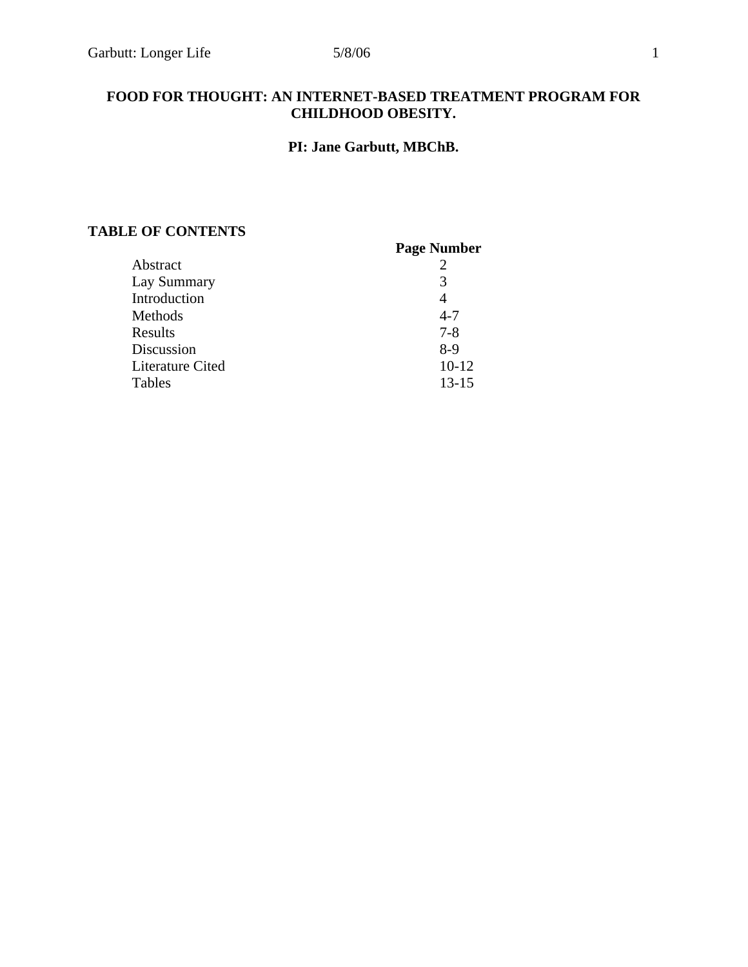# **FOOD FOR THOUGHT: AN INTERNET-BASED TREATMENT PROGRAM FOR CHILDHOOD OBESITY.**

# **PI: Jane Garbutt, MBChB.**

# **TABLE OF CONTENTS**

| <b>Page Number</b> |
|--------------------|
|                    |
| 3                  |
| 4                  |
| $4 - 7$            |
| $7 - 8$            |
| $8-9$              |
| $10 - 12$          |
| $13 - 15$          |
|                    |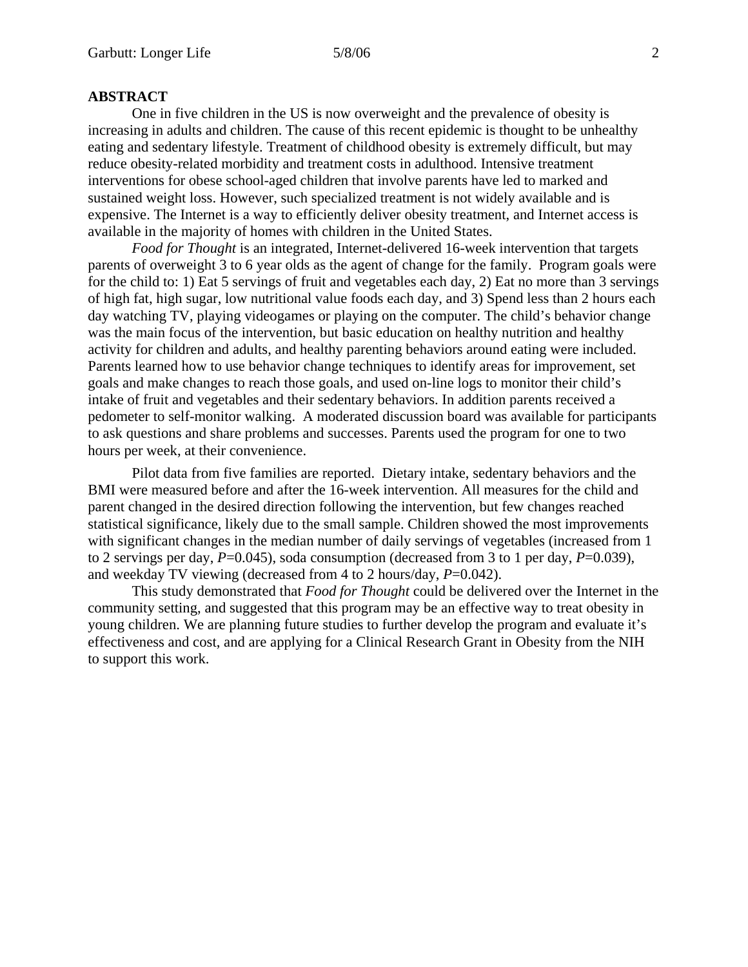# **ABSTRACT**

 One in five children in the US is now overweight and the prevalence of obesity is increasing in adults and children. The cause of this recent epidemic is thought to be unhealthy eating and sedentary lifestyle. Treatment of childhood obesity is extremely difficult, but may reduce obesity-related morbidity and treatment costs in adulthood. Intensive treatment interventions for obese school-aged children that involve parents have led to marked and sustained weight loss. However, such specialized treatment is not widely available and is expensive. The Internet is a way to efficiently deliver obesity treatment, and Internet access is available in the majority of homes with children in the United States.

*Food for Thought* is an integrated, Internet-delivered 16-week intervention that targets parents of overweight 3 to 6 year olds as the agent of change for the family. Program goals were for the child to: 1) Eat 5 servings of fruit and vegetables each day, 2) Eat no more than 3 servings of high fat, high sugar, low nutritional value foods each day, and 3) Spend less than 2 hours each day watching TV, playing videogames or playing on the computer. The child's behavior change was the main focus of the intervention, but basic education on healthy nutrition and healthy activity for children and adults, and healthy parenting behaviors around eating were included. Parents learned how to use behavior change techniques to identify areas for improvement, set goals and make changes to reach those goals, and used on-line logs to monitor their child's intake of fruit and vegetables and their sedentary behaviors. In addition parents received a pedometer to self-monitor walking. A moderated discussion board was available for participants to ask questions and share problems and successes. Parents used the program for one to two hours per week, at their convenience.

Pilot data from five families are reported. Dietary intake, sedentary behaviors and the BMI were measured before and after the 16-week intervention. All measures for the child and parent changed in the desired direction following the intervention, but few changes reached statistical significance, likely due to the small sample. Children showed the most improvements with significant changes in the median number of daily servings of vegetables (increased from 1 to 2 servings per day, *P*=0.045), soda consumption (decreased from 3 to 1 per day, *P*=0.039), and weekday TV viewing (decreased from 4 to 2 hours/day, *P*=0.042).

This study demonstrated that *Food for Thought* could be delivered over the Internet in the community setting, and suggested that this program may be an effective way to treat obesity in young children. We are planning future studies to further develop the program and evaluate it's effectiveness and cost, and are applying for a Clinical Research Grant in Obesity from the NIH to support this work.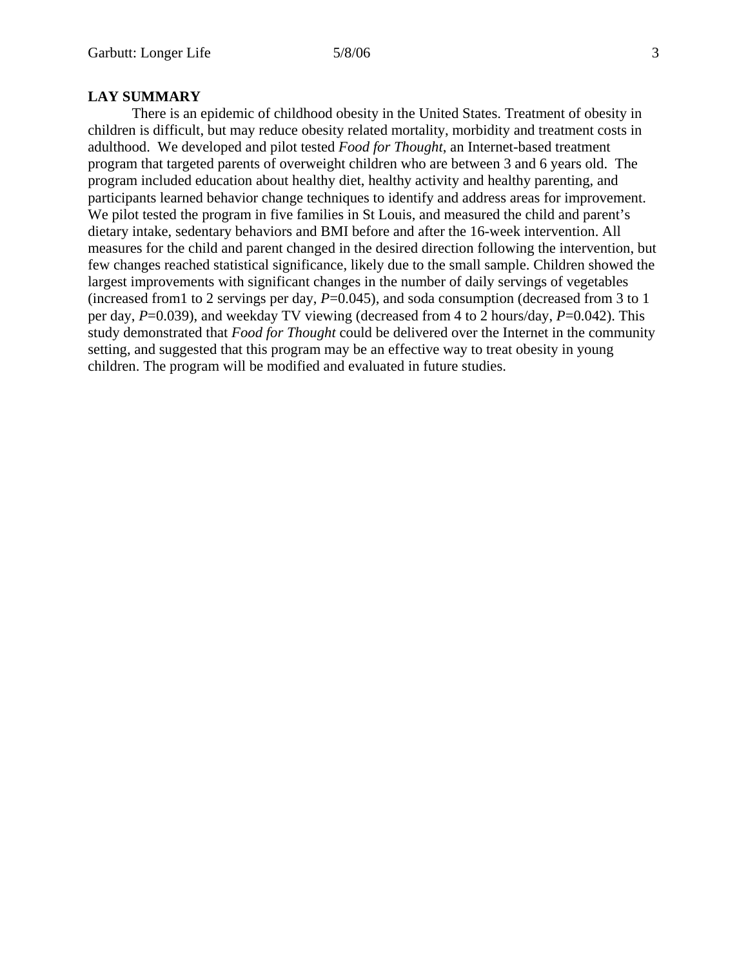There is an epidemic of childhood obesity in the United States. Treatment of obesity in children is difficult, but may reduce obesity related mortality, morbidity and treatment costs in adulthood. We developed and pilot tested *Food for Thought*, an Internet-based treatment program that targeted parents of overweight children who are between 3 and 6 years old. The program included education about healthy diet, healthy activity and healthy parenting, and participants learned behavior change techniques to identify and address areas for improvement. We pilot tested the program in five families in St Louis, and measured the child and parent's dietary intake, sedentary behaviors and BMI before and after the 16-week intervention. All measures for the child and parent changed in the desired direction following the intervention, but few changes reached statistical significance, likely due to the small sample. Children showed the largest improvements with significant changes in the number of daily servings of vegetables (increased from 1 to 2 servings per day,  $P=0.045$ ), and soda consumption (decreased from 3 to 1 per day, *P*=0.039), and weekday TV viewing (decreased from 4 to 2 hours/day, *P*=0.042). This study demonstrated that *Food for Thought* could be delivered over the Internet in the community setting, and suggested that this program may be an effective way to treat obesity in young children. The program will be modified and evaluated in future studies.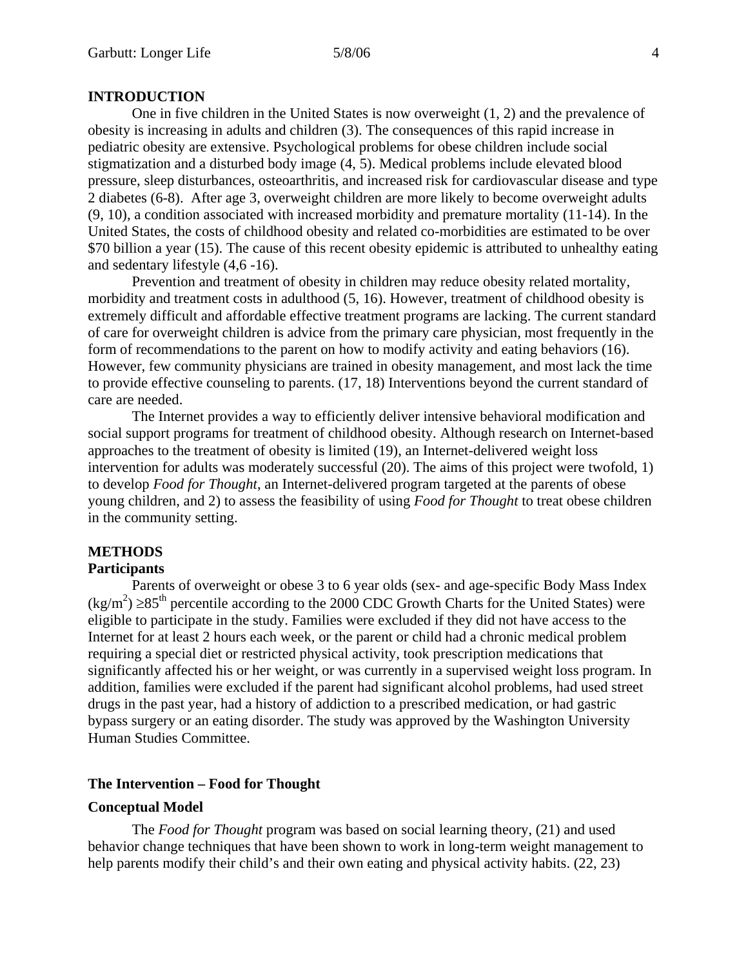# **INTRODUCTION**

 One in five children in the United States is now overweight (1, 2) and the prevalence of obesity is increasing in adults and children (3). The consequences of this rapid increase in pediatric obesity are extensive. Psychological problems for obese children include social stigmatization and a disturbed body image (4, 5). Medical problems include elevated blood pressure, sleep disturbances, osteoarthritis, and increased risk for cardiovascular disease and type 2 diabetes (6-8). After age 3, overweight children are more likely to become overweight adults (9, 10), a condition associated with increased morbidity and premature mortality (11-14). In the United States, the costs of childhood obesity and related co-morbidities are estimated to be over \$70 billion a year (15). The cause of this recent obesity epidemic is attributed to unhealthy eating and sedentary lifestyle (4,6 -16).

 Prevention and treatment of obesity in children may reduce obesity related mortality, morbidity and treatment costs in adulthood (5, 16). However, treatment of childhood obesity is extremely difficult and affordable effective treatment programs are lacking. The current standard of care for overweight children is advice from the primary care physician, most frequently in the form of recommendations to the parent on how to modify activity and eating behaviors (16). However, few community physicians are trained in obesity management, and most lack the time to provide effective counseling to parents. (17, 18) Interventions beyond the current standard of care are needed.

The Internet provides a way to efficiently deliver intensive behavioral modification and social support programs for treatment of childhood obesity. Although research on Internet-based approaches to the treatment of obesity is limited (19), an Internet-delivered weight loss intervention for adults was moderately successful (20). The aims of this project were twofold, 1) to develop *Food for Thought*, an Internet-delivered program targeted at the parents of obese young children, and 2) to assess the feasibility of using *Food for Thought* to treat obese children in the community setting.

# **METHODS**

### **Participants**

Parents of overweight or obese 3 to 6 year olds (sex- and age-specific Body Mass Index  $(\text{kg/m}^2)$  ≥85<sup>th</sup> percentile according to the 2000 CDC Growth Charts for the United States) were eligible to participate in the study. Families were excluded if they did not have access to the Internet for at least 2 hours each week, or the parent or child had a chronic medical problem requiring a special diet or restricted physical activity, took prescription medications that significantly affected his or her weight, or was currently in a supervised weight loss program. In addition, families were excluded if the parent had significant alcohol problems, had used street drugs in the past year, had a history of addiction to a prescribed medication, or had gastric bypass surgery or an eating disorder. The study was approved by the Washington University Human Studies Committee.

# **The Intervention – Food for Thought**

# **Conceptual Model**

The *Food for Thought* program was based on social learning theory, (21) and used behavior change techniques that have been shown to work in long-term weight management to help parents modify their child's and their own eating and physical activity habits. (22, 23)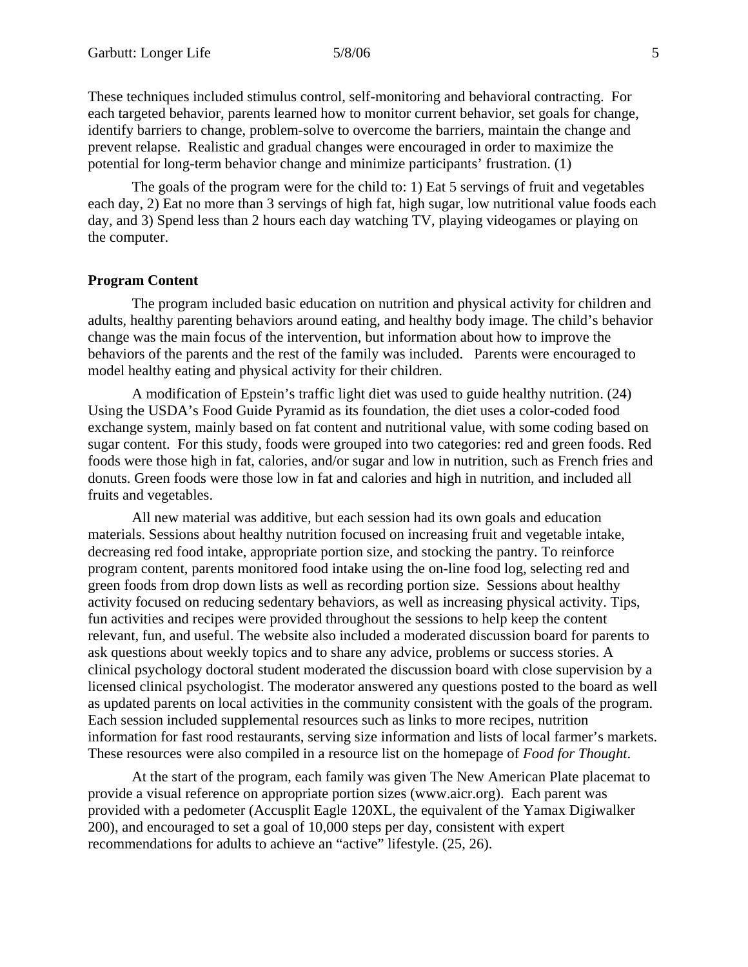These techniques included stimulus control, self-monitoring and behavioral contracting. For each targeted behavior, parents learned how to monitor current behavior, set goals for change, identify barriers to change, problem-solve to overcome the barriers, maintain the change and prevent relapse. Realistic and gradual changes were encouraged in order to maximize the potential for long-term behavior change and minimize participants' frustration. (1)

The goals of the program were for the child to: 1) Eat 5 servings of fruit and vegetables each day, 2) Eat no more than 3 servings of high fat, high sugar, low nutritional value foods each day, and 3) Spend less than 2 hours each day watching TV, playing videogames or playing on the computer.

# **Program Content**

 The program included basic education on nutrition and physical activity for children and adults, healthy parenting behaviors around eating, and healthy body image. The child's behavior change was the main focus of the intervention, but information about how to improve the behaviors of the parents and the rest of the family was included. Parents were encouraged to model healthy eating and physical activity for their children.

A modification of Epstein's traffic light diet was used to guide healthy nutrition. (24) Using the USDA's Food Guide Pyramid as its foundation, the diet uses a color-coded food exchange system, mainly based on fat content and nutritional value, with some coding based on sugar content. For this study, foods were grouped into two categories: red and green foods. Red foods were those high in fat, calories, and/or sugar and low in nutrition, such as French fries and donuts. Green foods were those low in fat and calories and high in nutrition, and included all fruits and vegetables.

All new material was additive, but each session had its own goals and education materials. Sessions about healthy nutrition focused on increasing fruit and vegetable intake, decreasing red food intake, appropriate portion size, and stocking the pantry. To reinforce program content, parents monitored food intake using the on-line food log, selecting red and green foods from drop down lists as well as recording portion size. Sessions about healthy activity focused on reducing sedentary behaviors, as well as increasing physical activity. Tips, fun activities and recipes were provided throughout the sessions to help keep the content relevant, fun, and useful. The website also included a moderated discussion board for parents to ask questions about weekly topics and to share any advice, problems or success stories. A clinical psychology doctoral student moderated the discussion board with close supervision by a licensed clinical psychologist. The moderator answered any questions posted to the board as well as updated parents on local activities in the community consistent with the goals of the program. Each session included supplemental resources such as links to more recipes, nutrition information for fast rood restaurants, serving size information and lists of local farmer's markets. These resources were also compiled in a resource list on the homepage of *Food for Thought*.

At the start of the program, each family was given The New American Plate placemat to provide a visual reference on appropriate portion sizes (www.aicr.org). Each parent was provided with a pedometer (Accusplit Eagle 120XL, the equivalent of the Yamax Digiwalker 200), and encouraged to set a goal of 10,000 steps per day, consistent with expert recommendations for adults to achieve an "active" lifestyle. (25, 26).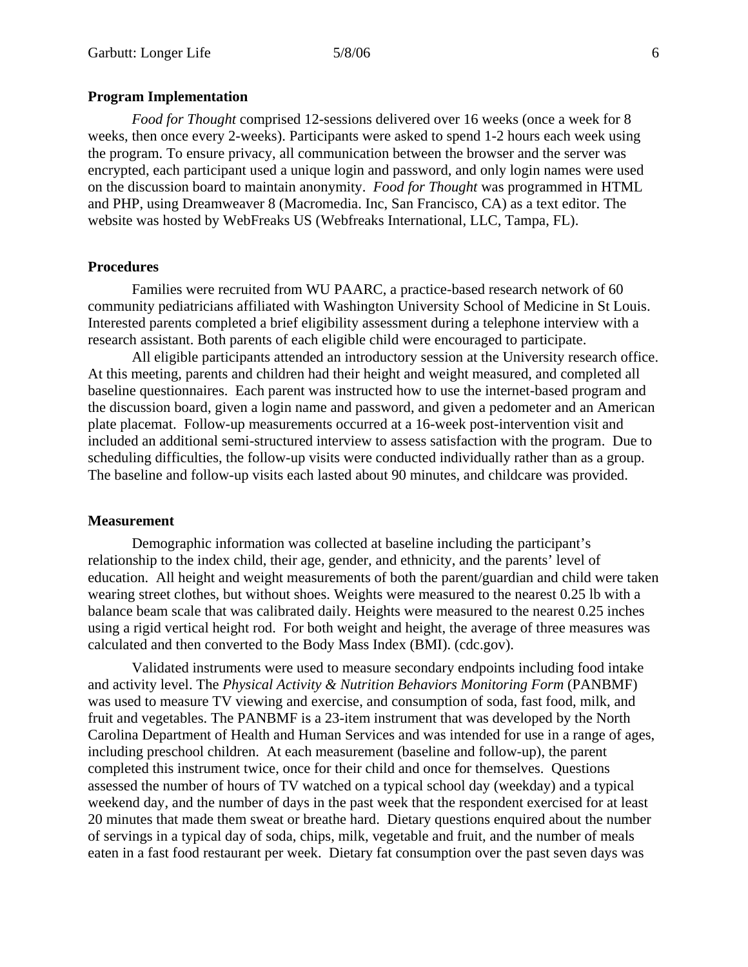## **Program Implementation**

*Food for Thought* comprised 12-sessions delivered over 16 weeks (once a week for 8 weeks, then once every 2-weeks). Participants were asked to spend 1-2 hours each week using the program. To ensure privacy, all communication between the browser and the server was encrypted, each participant used a unique login and password, and only login names were used on the discussion board to maintain anonymity. *Food for Thought* was programmed in HTML and PHP, using Dreamweaver 8 (Macromedia. Inc, San Francisco, CA) as a text editor. The website was hosted by WebFreaks US (Webfreaks International, LLC, Tampa, FL).

### **Procedures**

 Families were recruited from WU PAARC, a practice-based research network of 60 community pediatricians affiliated with Washington University School of Medicine in St Louis. Interested parents completed a brief eligibility assessment during a telephone interview with a research assistant. Both parents of each eligible child were encouraged to participate.

All eligible participants attended an introductory session at the University research office. At this meeting, parents and children had their height and weight measured, and completed all baseline questionnaires. Each parent was instructed how to use the internet-based program and the discussion board, given a login name and password, and given a pedometer and an American plate placemat. Follow-up measurements occurred at a 16-week post-intervention visit and included an additional semi-structured interview to assess satisfaction with the program. Due to scheduling difficulties, the follow-up visits were conducted individually rather than as a group. The baseline and follow-up visits each lasted about 90 minutes, and childcare was provided.

## **Measurement**

Demographic information was collected at baseline including the participant's relationship to the index child, their age, gender, and ethnicity, and the parents' level of education. All height and weight measurements of both the parent/guardian and child were taken wearing street clothes, but without shoes. Weights were measured to the nearest 0.25 lb with a balance beam scale that was calibrated daily. Heights were measured to the nearest 0.25 inches using a rigid vertical height rod. For both weight and height, the average of three measures was calculated and then converted to the Body Mass Index (BMI). (cdc.gov).

Validated instruments were used to measure secondary endpoints including food intake and activity level. The *Physical Activity & Nutrition Behaviors Monitoring Form* (PANBMF) was used to measure TV viewing and exercise, and consumption of soda, fast food, milk, and fruit and vegetables. The PANBMF is a 23-item instrument that was developed by the North Carolina Department of Health and Human Services and was intended for use in a range of ages, including preschool children. At each measurement (baseline and follow-up), the parent completed this instrument twice, once for their child and once for themselves. Questions assessed the number of hours of TV watched on a typical school day (weekday) and a typical weekend day, and the number of days in the past week that the respondent exercised for at least 20 minutes that made them sweat or breathe hard. Dietary questions enquired about the number of servings in a typical day of soda, chips, milk, vegetable and fruit, and the number of meals eaten in a fast food restaurant per week. Dietary fat consumption over the past seven days was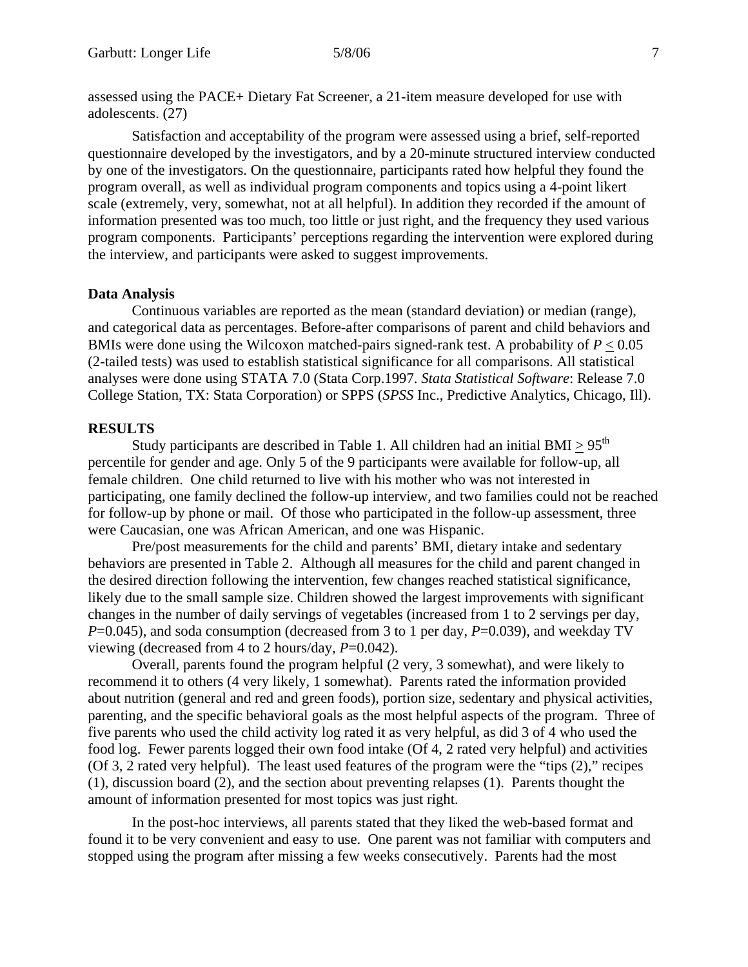assessed using the PACE+ Dietary Fat Screener, a 21-item measure developed for use with adolescents. (27)

Satisfaction and acceptability of the program were assessed using a brief, self-reported questionnaire developed by the investigators, and by a 20-minute structured interview conducted by one of the investigators. On the questionnaire, participants rated how helpful they found the program overall, as well as individual program components and topics using a 4-point likert scale (extremely, very, somewhat, not at all helpful). In addition they recorded if the amount of information presented was too much, too little or just right, and the frequency they used various program components. Participants' perceptions regarding the intervention were explored during the interview, and participants were asked to suggest improvements.

# **Data Analysis**

 Continuous variables are reported as the mean (standard deviation) or median (range), and categorical data as percentages. Before-after comparisons of parent and child behaviors and BMIs were done using the Wilcoxon matched-pairs signed-rank test. A probability of  $P < 0.05$ (2-tailed tests) was used to establish statistical significance for all comparisons. All statistical analyses were done using STATA 7.0 (Stata Corp.1997. *Stata Statistical Software*: Release 7.0 College Station, TX: Stata Corporation) or SPPS (*SPSS* Inc., Predictive Analytics, Chicago, Ill).

# **RESULTS**

Study participants are described in Table 1. All children had an initial BMI  $> 95<sup>th</sup>$ percentile for gender and age. Only 5 of the 9 participants were available for follow-up, all female children. One child returned to live with his mother who was not interested in participating, one family declined the follow-up interview, and two families could not be reached for follow-up by phone or mail. Of those who participated in the follow-up assessment, three were Caucasian, one was African American, and one was Hispanic.

Pre/post measurements for the child and parents' BMI, dietary intake and sedentary behaviors are presented in Table 2. Although all measures for the child and parent changed in the desired direction following the intervention, few changes reached statistical significance, likely due to the small sample size. Children showed the largest improvements with significant changes in the number of daily servings of vegetables (increased from 1 to 2 servings per day, *P*=0.045), and soda consumption (decreased from 3 to 1 per day, *P*=0.039), and weekday TV viewing (decreased from 4 to 2 hours/day, *P*=0.042).

Overall, parents found the program helpful (2 very, 3 somewhat), and were likely to recommend it to others (4 very likely, 1 somewhat). Parents rated the information provided about nutrition (general and red and green foods), portion size, sedentary and physical activities, parenting, and the specific behavioral goals as the most helpful aspects of the program. Three of five parents who used the child activity log rated it as very helpful, as did 3 of 4 who used the food log. Fewer parents logged their own food intake (Of 4, 2 rated very helpful) and activities (Of 3, 2 rated very helpful). The least used features of the program were the "tips (2)," recipes (1), discussion board (2), and the section about preventing relapses (1). Parents thought the amount of information presented for most topics was just right.

In the post-hoc interviews, all parents stated that they liked the web-based format and found it to be very convenient and easy to use. One parent was not familiar with computers and stopped using the program after missing a few weeks consecutively. Parents had the most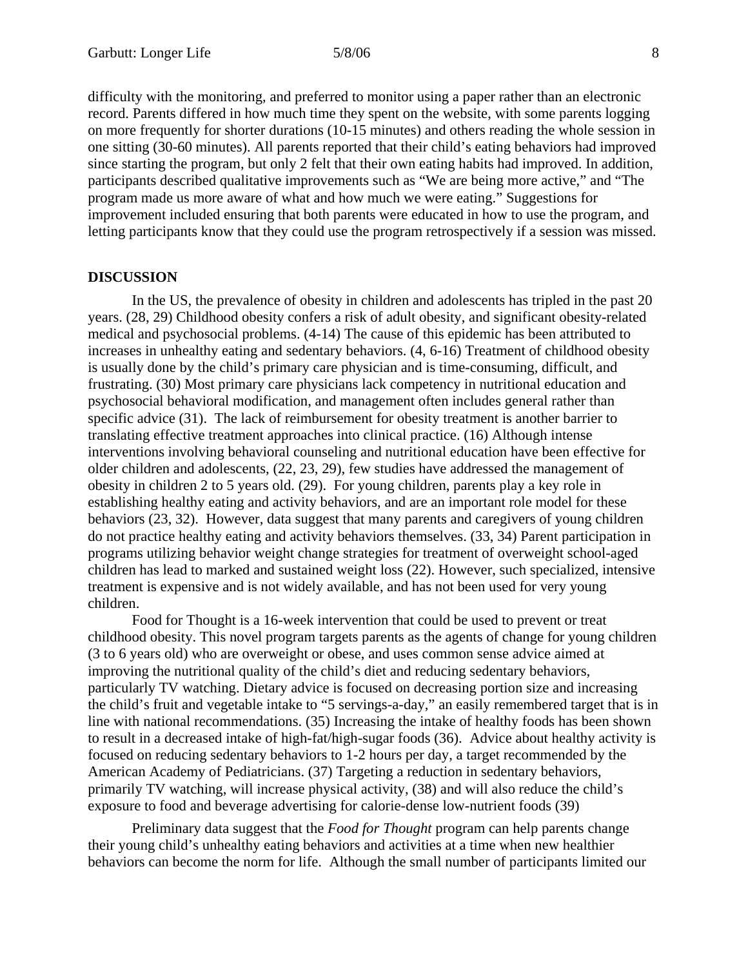difficulty with the monitoring, and preferred to monitor using a paper rather than an electronic record. Parents differed in how much time they spent on the website, with some parents logging on more frequently for shorter durations (10-15 minutes) and others reading the whole session in one sitting (30-60 minutes). All parents reported that their child's eating behaviors had improved since starting the program, but only 2 felt that their own eating habits had improved. In addition, participants described qualitative improvements such as "We are being more active," and "The program made us more aware of what and how much we were eating." Suggestions for improvement included ensuring that both parents were educated in how to use the program, and letting participants know that they could use the program retrospectively if a session was missed.

## **DISCUSSION**

 In the US, the prevalence of obesity in children and adolescents has tripled in the past 20 years. (28, 29) Childhood obesity confers a risk of adult obesity, and significant obesity-related medical and psychosocial problems. (4-14) The cause of this epidemic has been attributed to increases in unhealthy eating and sedentary behaviors. (4, 6-16) Treatment of childhood obesity is usually done by the child's primary care physician and is time-consuming, difficult, and frustrating. (30) Most primary care physicians lack competency in nutritional education and psychosocial behavioral modification, and management often includes general rather than specific advice (31). The lack of reimbursement for obesity treatment is another barrier to translating effective treatment approaches into clinical practice. (16) Although intense interventions involving behavioral counseling and nutritional education have been effective for older children and adolescents, (22, 23, 29), few studies have addressed the management of obesity in children 2 to 5 years old. (29). For young children, parents play a key role in establishing healthy eating and activity behaviors, and are an important role model for these behaviors (23, 32). However, data suggest that many parents and caregivers of young children do not practice healthy eating and activity behaviors themselves. (33, 34) Parent participation in programs utilizing behavior weight change strategies for treatment of overweight school-aged children has lead to marked and sustained weight loss (22). However, such specialized, intensive treatment is expensive and is not widely available, and has not been used for very young children.

Food for Thought is a 16-week intervention that could be used to prevent or treat childhood obesity. This novel program targets parents as the agents of change for young children (3 to 6 years old) who are overweight or obese, and uses common sense advice aimed at improving the nutritional quality of the child's diet and reducing sedentary behaviors, particularly TV watching. Dietary advice is focused on decreasing portion size and increasing the child's fruit and vegetable intake to "5 servings-a-day," an easily remembered target that is in line with national recommendations. (35) Increasing the intake of healthy foods has been shown to result in a decreased intake of high-fat/high-sugar foods (36). Advice about healthy activity is focused on reducing sedentary behaviors to 1-2 hours per day, a target recommended by the American Academy of Pediatricians. (37) Targeting a reduction in sedentary behaviors, primarily TV watching, will increase physical activity, (38) and will also reduce the child's exposure to food and beverage advertising for calorie-dense low-nutrient foods (39)

Preliminary data suggest that the *Food for Thought* program can help parents change their young child's unhealthy eating behaviors and activities at a time when new healthier behaviors can become the norm for life. Although the small number of participants limited our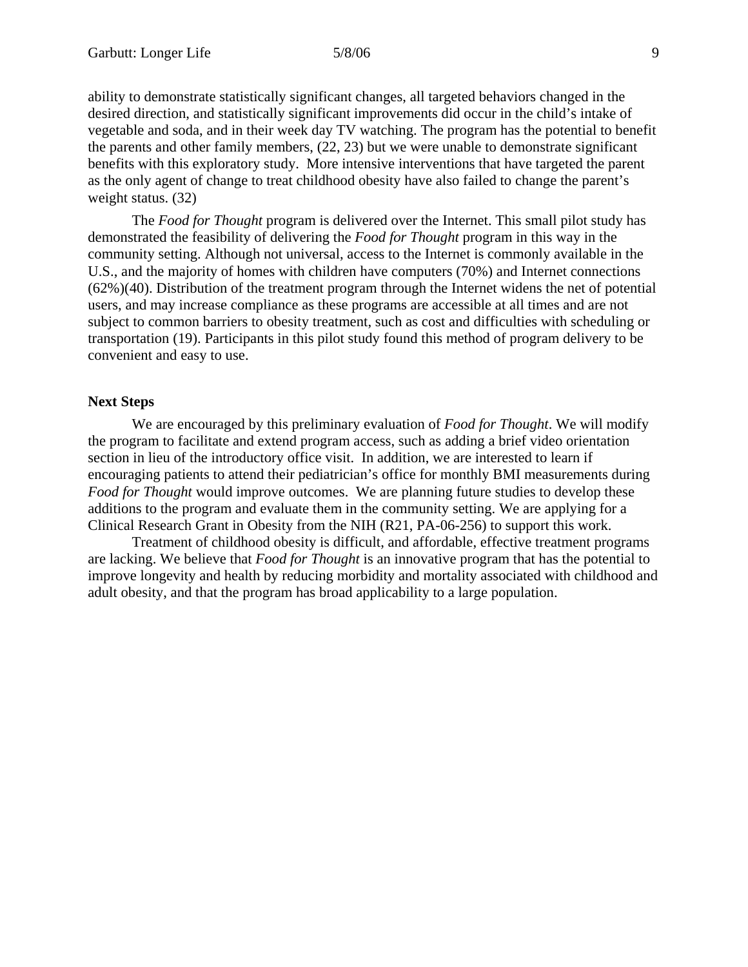ability to demonstrate statistically significant changes, all targeted behaviors changed in the desired direction, and statistically significant improvements did occur in the child's intake of vegetable and soda, and in their week day TV watching. The program has the potential to benefit the parents and other family members, (22, 23) but we were unable to demonstrate significant benefits with this exploratory study. More intensive interventions that have targeted the parent as the only agent of change to treat childhood obesity have also failed to change the parent's weight status. (32)

The *Food for Thought* program is delivered over the Internet. This small pilot study has demonstrated the feasibility of delivering the *Food for Thought* program in this way in the community setting. Although not universal, access to the Internet is commonly available in the U.S., and the majority of homes with children have computers (70%) and Internet connections (62%)(40). Distribution of the treatment program through the Internet widens the net of potential users, and may increase compliance as these programs are accessible at all times and are not subject to common barriers to obesity treatment, such as cost and difficulties with scheduling or transportation (19). Participants in this pilot study found this method of program delivery to be convenient and easy to use.

# **Next Steps**

We are encouraged by this preliminary evaluation of *Food for Thought*. We will modify the program to facilitate and extend program access, such as adding a brief video orientation section in lieu of the introductory office visit. In addition, we are interested to learn if encouraging patients to attend their pediatrician's office for monthly BMI measurements during *Food for Thought* would improve outcomes. We are planning future studies to develop these additions to the program and evaluate them in the community setting. We are applying for a Clinical Research Grant in Obesity from the NIH (R21, PA-06-256) to support this work.

Treatment of childhood obesity is difficult, and affordable, effective treatment programs are lacking. We believe that *Food for Thought* is an innovative program that has the potential to improve longevity and health by reducing morbidity and mortality associated with childhood and adult obesity, and that the program has broad applicability to a large population.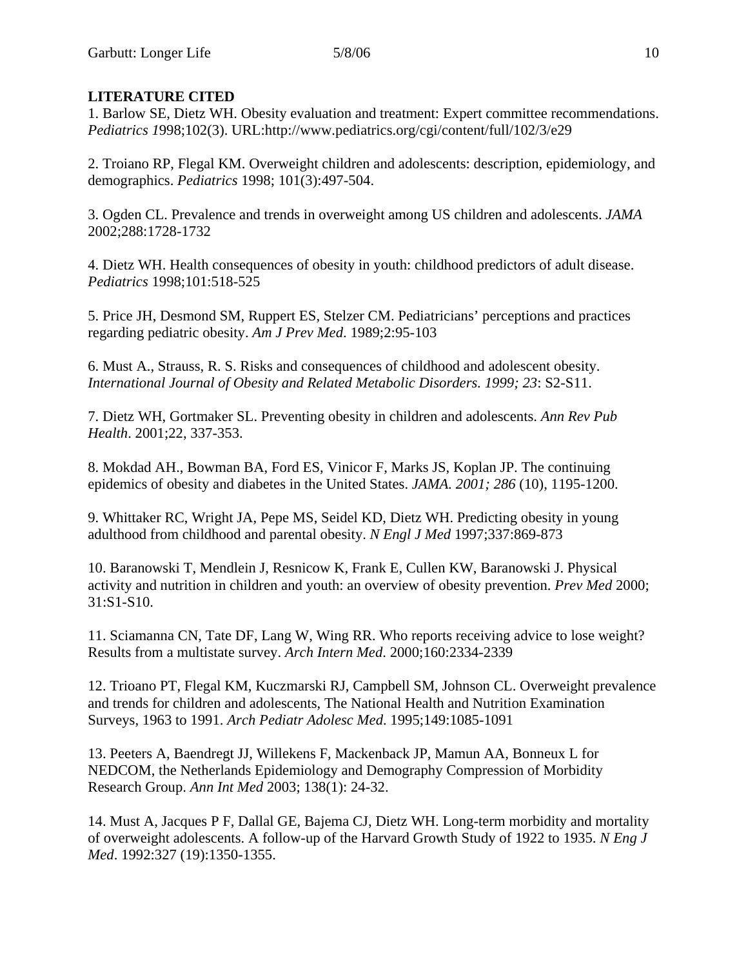# **LITERATURE CITED**

1. Barlow SE, Dietz WH. Obesity evaluation and treatment: Expert committee recommendations. *Pediatrics 1*998;102(3). URL:http://www.pediatrics.org/cgi/content/full/102/3/e29

2. Troiano RP, Flegal KM. Overweight children and adolescents: description, epidemiology, and demographics. *Pediatrics* 1998; 101(3):497-504.

3. Ogden CL. Prevalence and trends in overweight among US children and adolescents. *JAMA* 2002;288:1728-1732

4. Dietz WH. Health consequences of obesity in youth: childhood predictors of adult disease. *Pediatrics* 1998;101:518-525

5. Price JH, Desmond SM, Ruppert ES, Stelzer CM. Pediatricians' perceptions and practices regarding pediatric obesity. *Am J Prev Med*. 1989;2:95-103

6. Must A., Strauss, R. S. Risks and consequences of childhood and adolescent obesity. *International Journal of Obesity and Related Metabolic Disorders. 1999; 23*: S2-S11.

7. Dietz WH, Gortmaker SL. Preventing obesity in children and adolescents. *Ann Rev Pub Health*. 2001;22, 337-353.

8. Mokdad AH., Bowman BA, Ford ES, Vinicor F, Marks JS, Koplan JP. The continuing epidemics of obesity and diabetes in the United States. *JAMA. 2001; 286* (10), 1195-1200.

9. Whittaker RC, Wright JA, Pepe MS, Seidel KD, Dietz WH. Predicting obesity in young adulthood from childhood and parental obesity. *N Engl J Med* 1997;337:869-873

10. Baranowski T, Mendlein J, Resnicow K, Frank E, Cullen KW, Baranowski J. Physical activity and nutrition in children and youth: an overview of obesity prevention. *Prev Med* 2000; 31:S1-S10.

11. Sciamanna CN, Tate DF, Lang W, Wing RR. Who reports receiving advice to lose weight? Results from a multistate survey. *Arch Intern Med*. 2000;160:2334-2339

12. Trioano PT, Flegal KM, Kuczmarski RJ, Campbell SM, Johnson CL. Overweight prevalence and trends for children and adolescents, The National Health and Nutrition Examination Surveys, 1963 to 1991. *Arch Pediatr Adolesc Med*. 1995;149:1085-1091

13. Peeters A, Baendregt JJ, Willekens F, Mackenback JP, Mamun AA, Bonneux L for NEDCOM, the Netherlands Epidemiology and Demography Compression of Morbidity Research Group. *Ann Int Med* 2003; 138(1): 24-32.

14. Must A, Jacques P F, Dallal GE, Bajema CJ, Dietz WH. Long-term morbidity and mortality of overweight adolescents. A follow-up of the Harvard Growth Study of 1922 to 1935. *N Eng J Med*. 1992:327 (19):1350-1355.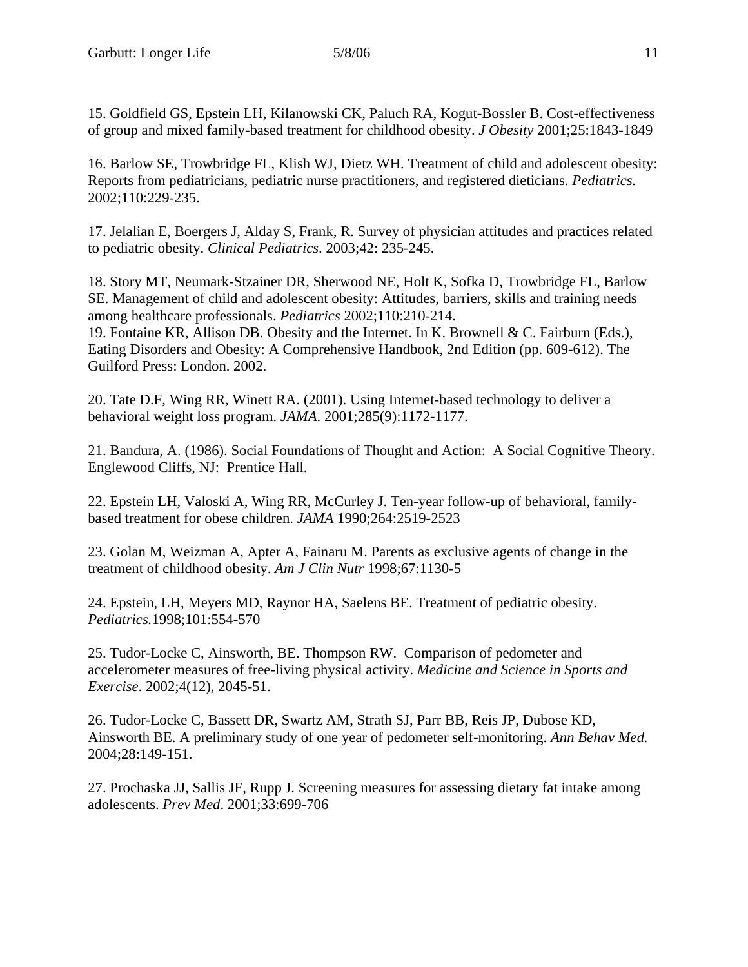15. Goldfield GS, Epstein LH, Kilanowski CK, Paluch RA, Kogut-Bossler B. Cost-effectiveness of group and mixed family-based treatment for childhood obesity. *J Obesity* 2001;25:1843-1849

16. Barlow SE, Trowbridge FL, Klish WJ, Dietz WH. Treatment of child and adolescent obesity: Reports from pediatricians, pediatric nurse practitioners, and registered dieticians. *Pediatrics.* 2002;110:229-235.

17. Jelalian E, Boergers J, Alday S, Frank, R. Survey of physician attitudes and practices related to pediatric obesity. *Clinical Pediatrics*. 2003;42: 235-245.

18. Story MT, Neumark-Stzainer DR, Sherwood NE, Holt K, Sofka D, Trowbridge FL, Barlow SE. Management of child and adolescent obesity: Attitudes, barriers, skills and training needs among healthcare professionals. *Pediatrics* 2002;110:210-214. 19. Fontaine KR, Allison DB. Obesity and the Internet. In K. Brownell & C. Fairburn (Eds.), Eating Disorders and Obesity: A Comprehensive Handbook, 2nd Edition (pp. 609-612). The Guilford Press: London. 2002.

20. Tate D.F, Wing RR, Winett RA. (2001). Using Internet-based technology to deliver a behavioral weight loss program. *JAMA*. 2001;285(9):1172-1177.

21. Bandura, A. (1986). Social Foundations of Thought and Action: A Social Cognitive Theory. Englewood Cliffs, NJ: Prentice Hall.

22. Epstein LH, Valoski A, Wing RR, McCurley J. Ten-year follow-up of behavioral, familybased treatment for obese children. *JAMA* 1990;264:2519-2523

23. Golan M, Weizman A, Apter A, Fainaru M. Parents as exclusive agents of change in the treatment of childhood obesity. *Am J Clin Nutr* 1998;67:1130-5

24. Epstein, LH, Meyers MD, Raynor HA, Saelens BE. Treatment of pediatric obesity. *Pediatrics.*1998;101:554-570

25. Tudor-Locke C, Ainsworth, BE. Thompson RW. Comparison of pedometer and accelerometer measures of free-living physical activity. *Medicine and Science in Sports and Exercise*. 2002;4(12), 2045-51.

26. Tudor-Locke C, Bassett DR, Swartz AM, Strath SJ, Parr BB, Reis JP, Dubose KD, Ainsworth BE. A preliminary study of one year of pedometer self-monitoring. *Ann Behav Med.* 2004;28:149-151.

27. Prochaska JJ, Sallis JF, Rupp J. Screening measures for assessing dietary fat intake among adolescents. *Prev Med*. 2001;33:699-706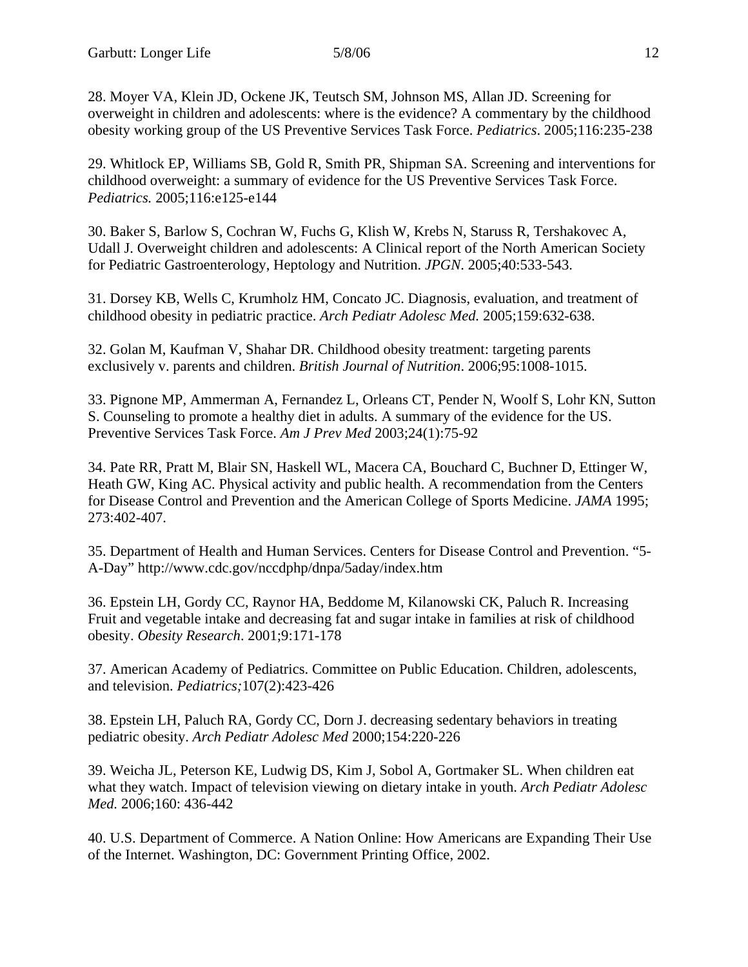28. Moyer VA, Klein JD, Ockene JK, Teutsch SM, Johnson MS, Allan JD. Screening for overweight in children and adolescents: where is the evidence? A commentary by the childhood obesity working group of the US Preventive Services Task Force. *Pediatrics*. 2005;116:235-238

29. Whitlock EP, Williams SB, Gold R, Smith PR, Shipman SA. Screening and interventions for childhood overweight: a summary of evidence for the US Preventive Services Task Force. *Pediatrics.* 2005;116:e125-e144

30. Baker S, Barlow S, Cochran W, Fuchs G, Klish W, Krebs N, Staruss R, Tershakovec A, Udall J. Overweight children and adolescents: A Clinical report of the North American Society for Pediatric Gastroenterology, Heptology and Nutrition. *JPGN*. 2005;40:533-543.

31. Dorsey KB, Wells C, Krumholz HM, Concato JC. Diagnosis, evaluation, and treatment of childhood obesity in pediatric practice. *Arch Pediatr Adolesc Med.* 2005;159:632-638.

32. Golan M, Kaufman V, Shahar DR. Childhood obesity treatment: targeting parents exclusively v. parents and children. *British Journal of Nutrition*. 2006;95:1008-1015.

33. Pignone MP, Ammerman A, Fernandez L, Orleans CT, Pender N, Woolf S, Lohr KN, Sutton S. Counseling to promote a healthy diet in adults. A summary of the evidence for the US. Preventive Services Task Force. *Am J Prev Med* 2003;24(1):75-92

34. Pate RR, Pratt M, Blair SN, Haskell WL, Macera CA, Bouchard C, Buchner D, Ettinger W, Heath GW, King AC. Physical activity and public health. A recommendation from the Centers for Disease Control and Prevention and the American College of Sports Medicine. *JAMA* 1995; 273:402-407.

35. Department of Health and Human Services. Centers for Disease Control and Prevention. "5- A-Day" http://www.cdc.gov/nccdphp/dnpa/5aday/index.htm

36. Epstein LH, Gordy CC, Raynor HA, Beddome M, Kilanowski CK, Paluch R. Increasing Fruit and vegetable intake and decreasing fat and sugar intake in families at risk of childhood obesity. *Obesity Research*. 2001;9:171-178

37. American Academy of Pediatrics. Committee on Public Education. Children, adolescents, and television. *Pediatrics;*107(2):423-426

38. Epstein LH, Paluch RA, Gordy CC, Dorn J. decreasing sedentary behaviors in treating pediatric obesity. *Arch Pediatr Adolesc Med* 2000;154:220-226

39. Weicha JL, Peterson KE, Ludwig DS, Kim J, Sobol A, Gortmaker SL. When children eat what they watch. Impact of television viewing on dietary intake in youth. *Arch Pediatr Adolesc Med.* 2006;160: 436-442

40. U.S. Department of Commerce. A Nation Online: How Americans are Expanding Their Use of the Internet. Washington, DC: Government Printing Office, 2002.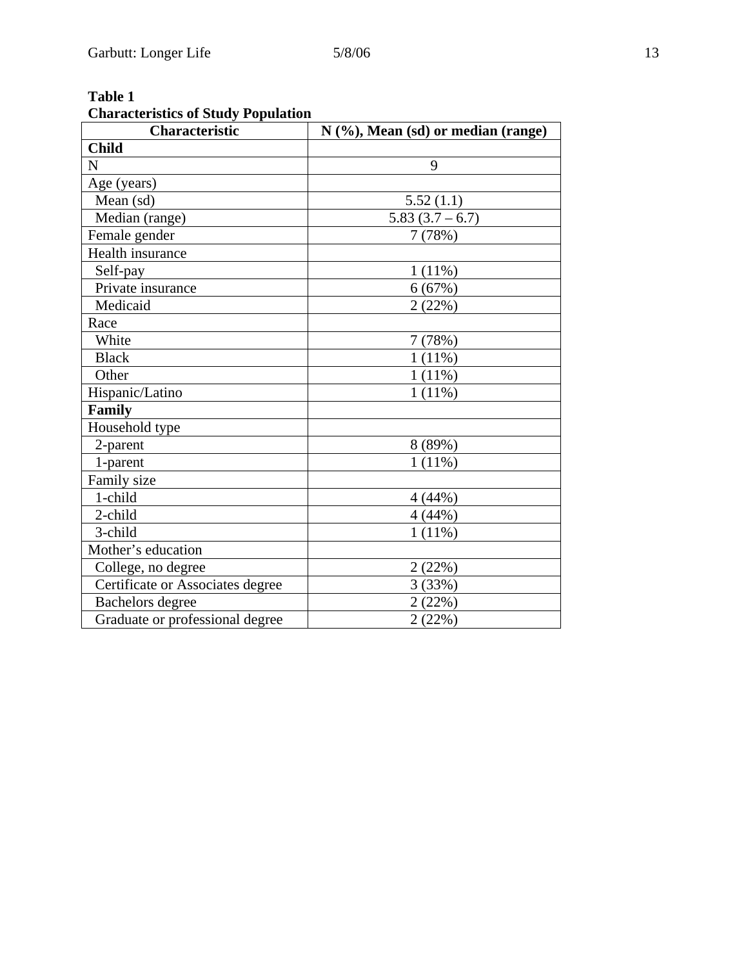| And acteristics of Diatry Topulation<br>Characteristic | N (%), Mean (sd) or median (range) |
|--------------------------------------------------------|------------------------------------|
| <b>Child</b>                                           |                                    |
| N                                                      | 9                                  |
| Age (years)                                            |                                    |
| Mean (sd)                                              | 5.52(1.1)                          |
| Median (range)                                         | $5.83(3.7-6.7)$                    |
| Female gender                                          | 7(78%)                             |
| Health insurance                                       |                                    |
| Self-pay                                               | $1(11\%)$                          |
| Private insurance                                      | 6(67%)                             |
| Medicaid                                               | 2(22%)                             |
| Race                                                   |                                    |
| White                                                  | 7(78%)                             |
| <b>Black</b>                                           | $1(11\%)$                          |
| Other                                                  | 1(11%)                             |
| Hispanic/Latino                                        | $1(11\%)$                          |
| Family                                                 |                                    |
| Household type                                         |                                    |
| 2-parent                                               | 8 (89%)                            |
| 1-parent                                               | $1(11\%)$                          |
| Family size                                            |                                    |
| 1-child                                                | 4(44%)                             |
| 2-child                                                | 4(44%)                             |
| 3-child                                                | $1(11\%)$                          |
| Mother's education                                     |                                    |
| College, no degree                                     | 2(22%)                             |
| Certificate or Associates degree                       | 3(33%)                             |
| Bachelors degree                                       | 2(22%)                             |
| Graduate or professional degree                        | 2(22%)                             |

# **Table 1 Characteristics of Study Population**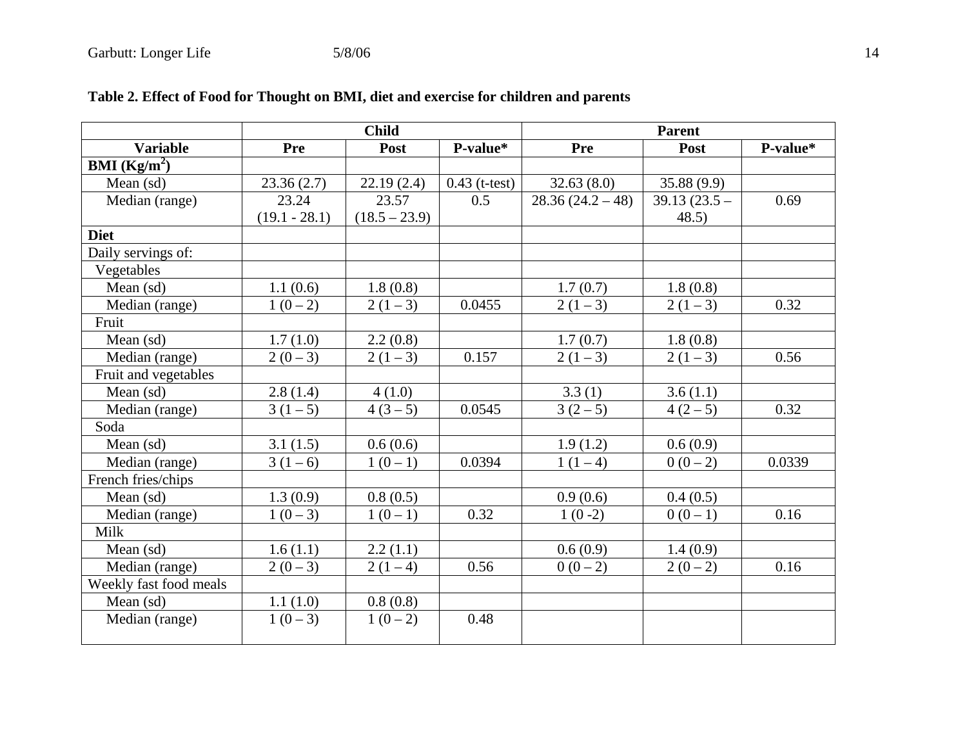|                                | <b>Child</b>    |                 |                 | <b>Parent</b>    |                |          |
|--------------------------------|-----------------|-----------------|-----------------|------------------|----------------|----------|
| <b>Variable</b>                | <b>Pre</b>      | Post            | P-value*        | Pre              | Post           | P-value* |
| <b>BMI</b> ( $\text{Kg/m}^2$ ) |                 |                 |                 |                  |                |          |
| Mean $(sd)$                    | 23.36(2.7)      | 22.19(2.4)      | $0.43$ (t-test) | 32.63(8.0)       | 35.88(9.9)     |          |
| Median (range)                 | 23.24           | 23.57           | 0.5             | $28.36(24.2-48)$ | $39.13(23.5 -$ | 0.69     |
|                                | $(19.1 - 28.1)$ | $(18.5 - 23.9)$ |                 |                  | 48.5)          |          |
| <b>Diet</b>                    |                 |                 |                 |                  |                |          |
| Daily servings of:             |                 |                 |                 |                  |                |          |
| Vegetables                     |                 |                 |                 |                  |                |          |
| Mean (sd)                      | 1.1(0.6)        | 1.8(0.8)        |                 | 1.7(0.7)         | 1.8(0.8)       |          |
| Median (range)                 | $1(0-2)$        | $2(1-3)$        | 0.0455          | $2(1-3)$         | $2(1-3)$       | 0.32     |
| Fruit                          |                 |                 |                 |                  |                |          |
| Mean (sd)                      | 1.7(1.0)        | 2.2(0.8)        |                 | 1.7(0.7)         | 1.8(0.8)       |          |
| Median (range)                 | $2(0-3)$        | $2(1-3)$        | 0.157           | $2(1-3)$         | $2(1-3)$       | 0.56     |
| Fruit and vegetables           |                 |                 |                 |                  |                |          |
| Mean (sd)                      | 2.8(1.4)        | 4(1.0)          |                 | 3.3(1)           | 3.6(1.1)       |          |
| Median (range)                 | $3(1-5)$        | $4(3-5)$        | 0.0545          | $3(2-5)$         | $4(2-5)$       | 0.32     |
| Soda                           |                 |                 |                 |                  |                |          |
| Mean $(sd)$                    | 3.1(1.5)        | 0.6(0.6)        |                 | 1.9(1.2)         | 0.6(0.9)       |          |
| Median (range)                 | $3(1-6)$        | $1(0-1)$        | 0.0394          | $1(1-4)$         | $0(0-2)$       | 0.0339   |
| French fries/chips             |                 |                 |                 |                  |                |          |
| Mean (sd)                      | 1.3(0.9)        | 0.8(0.5)        |                 | 0.9(0.6)         | 0.4(0.5)       |          |
| Median (range)                 | $1(0-3)$        | $1(0-1)$        | 0.32            | $1(0-2)$         | $0(0-1)$       | 0.16     |
| Milk                           |                 |                 |                 |                  |                |          |
| Mean $(sd)$                    | 1.6(1.1)        | 2.2(1.1)        |                 | 0.6(0.9)         | 1.4(0.9)       |          |
| Median (range)                 | $2(0-3)$        | $2(1-4)$        | 0.56            | $0(0-2)$         | $2(0-2)$       | 0.16     |
| Weekly fast food meals         |                 |                 |                 |                  |                |          |
| Mean (sd)                      | 1.1(1.0)        | 0.8(0.8)        |                 |                  |                |          |
| Median (range)                 | $1(0-3)$        | $1(0-2)$        | 0.48            |                  |                |          |

# **Table 2. Effect of Food for Thought on BMI, diet and exercise for children and parents**